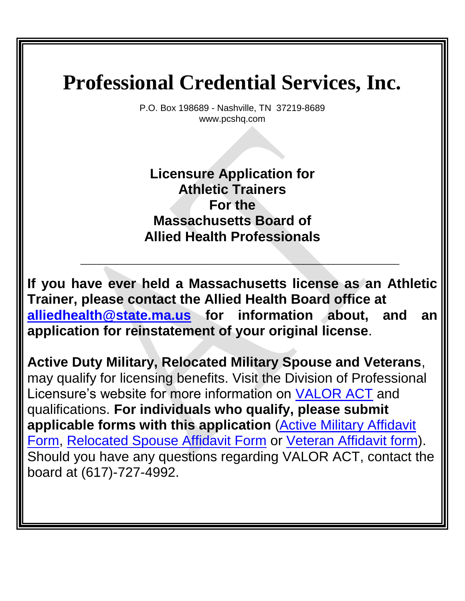P.O. Box 198689 - Nashville, TN 37219-8689 [www.pcshq.com](http://www.pcshq.com/)

**Licensure Application for Athletic Trainers For the Massachusetts Board of Allied Health Professionals**

**If you have ever held a Massachusetts license as an Athletic Trainer, please contact the Allied Health Board office at [alliedhealth@state.ma.us](mailto:alliedhealth@state.ma.us) for information about, and an application for reinstatement of your original license**.

\_\_\_\_\_\_\_\_\_\_\_\_\_\_\_\_\_\_\_\_\_\_\_\_\_\_\_\_\_\_\_\_\_\_\_\_\_\_\_\_\_\_\_\_\_\_\_\_\_\_\_\_\_\_\_\_\_\_\_\_\_\_\_

**Active Duty Military, Relocated Military Spouse and Veterans**, may qualify for licensing benefits. Visit the Division of Professional Licensure's website for more information on [VALOR ACT](https://www.mass.gov/service-details/licensing-benefits-for-active-military-spouses-veterans-0) and qualifications. **For individuals who qualify, please submit applicable forms with this application** [\(Active Military Affidavit](https://www.mass.gov/files/documents/2017/11/14/valor-active-military.pdf)  [Form,](https://www.mass.gov/files/documents/2017/11/14/valor-active-military.pdf) [Relocated Spouse Affidavit Form](https://www.mass.gov/files/documents/2017/11/14/valor-military-spouse.pdf) or [Veteran Affidavit form\)](https://www.mass.gov/files/documents/2017/11/14/valor-veteran.pdf). Should you have any questions regarding VALOR ACT, contact the board at (617)-727-4992.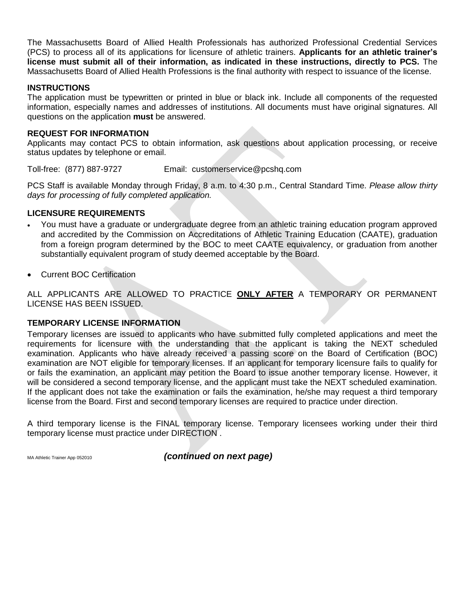The Massachusetts Board of Allied Health Professionals has authorized Professional Credential Services (PCS) to process all of its applications for licensure of athletic trainers. **Applicants for an athletic trainer's license must submit all of their information, as indicated in these instructions, directly to PCS.** The Massachusetts Board of Allied Health Professions is the final authority with respect to issuance of the license.

### **INSTRUCTIONS**

The application must be typewritten or printed in blue or black ink. Include all components of the requested information, especially names and addresses of institutions. All documents must have original signatures. All questions on the application **must** be answered.

### **REQUEST FOR INFORMATION**

Applicants may contact PCS to obtain information, ask questions about application processing, or receive status updates by telephone or email.

Toll-free: (877) 887-9727 Email: customerservice@pcshq.com

PCS Staff is available Monday through Friday, 8 a.m. to 4:30 p.m., Central Standard Time. *Please allow thirty days for processing of fully completed application.*

### **LICENSURE REQUIREMENTS**

- You must have a graduate or undergraduate degree from an athletic training education program approved and accredited by the Commission on Accreditations of Athletic Training Education (CAATE), graduation from a foreign program determined by the BOC to meet CAATE equivalency, or graduation from another substantially equivalent program of study deemed acceptable by the Board.
- Current BOC Certification

ALL APPLICANTS ARE ALLOWED TO PRACTICE **ONLY AFTER** A TEMPORARY OR PERMANENT LICENSE HAS BEEN ISSUED.

### **TEMPORARY LICENSE INFORMATION**

Temporary licenses are issued to applicants who have submitted fully completed applications and meet the requirements for licensure with the understanding that the applicant is taking the NEXT scheduled examination. Applicants who have already received a passing score on the Board of Certification (BOC) examination are NOT eligible for temporary licenses. If an applicant for temporary licensure fails to qualify for or fails the examination, an applicant may petition the Board to issue another temporary license. However, it will be considered a second temporary license, and the applicant must take the NEXT scheduled examination. If the applicant does not take the examination or fails the examination, he/she may request a third temporary license from the Board. First and second temporary licenses are required to practice under direction.

A third temporary license is the FINAL temporary license. Temporary licensees working under their third temporary license must practice under DIRECTION .

MA Athletic Trainer App 052010 *(continued on next page)*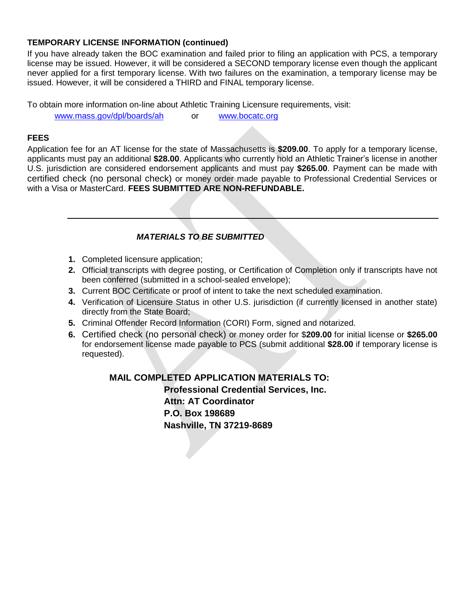### **TEMPORARY LICENSE INFORMATION (continued)**

If you have already taken the BOC examination and failed prior to filing an application with PCS, a temporary license may be issued. However, it will be considered a SECOND temporary license even though the applicant never applied for a first temporary license. With two failures on the examination, a temporary license may be issued. However, it will be considered a THIRD and FINAL temporary license.

To obtain more information on-line about Athletic Training Licensure requirements, visit:

[www.mass.gov/dpl/boards/ah](http://www.mass.gov/dpl/boards/ah) or [www.bocatc.org](http://www.bocatc.org/)

## **FEES**

Application fee for an AT license for the state of Massachusetts is **\$209.00**. To apply for a temporary license, applicants must pay an additional **\$28.00**. Applicants who currently hold an Athletic Trainer's license in another U.S. jurisdiction are considered endorsement applicants and must pay **\$265.00**. Payment can be made with certified check (no personal check) or money order made payable to Professional Credential Services or with a Visa or MasterCard. **FEES SUBMITTED ARE NON-REFUNDABLE.**

## *MATERIALS TO BE SUBMITTED*

- **1.** Completed licensure application;
- **2.** Official transcripts with degree posting, or Certification of Completion only if transcripts have not been conferred (submitted in a school-sealed envelope);
- **3.** Current BOC Certificate or proof of intent to take the next scheduled examination.
- **4.** Verification of Licensure Status in other U.S. jurisdiction (if currently licensed in another state) directly from the State Board;
- **5.** Criminal Offender Record Information (CORI) Form, signed and notarized.
- **6.** Certified check (no personal check) or money order for \$**209.00** for initial license or **\$265.00** for endorsement license made payable to PCS (submit additional **\$28.00** if temporary license is requested).

**MAIL COMPLETED APPLICATION MATERIALS TO: Professional Credential Services, Inc. Attn: AT Coordinator P.O. Box 198689 Nashville, TN 37219-8689**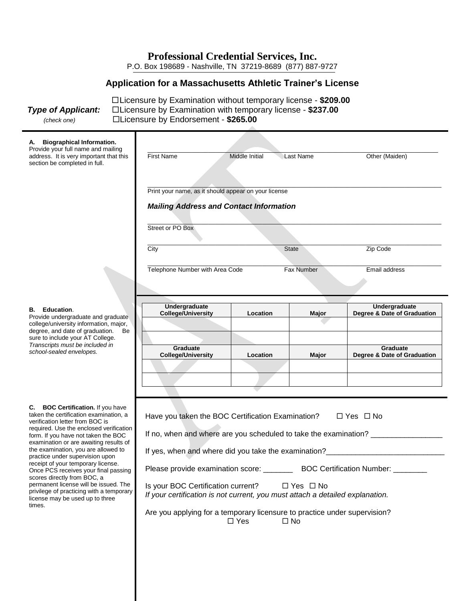P.O. Box 198689 - Nashville, TN 37219-8689 (877) 887-9727

## **Application for a Massachusetts Athletic Trainer's License**

Licensure by Examination without temporary license - **\$209.00** *Type of Applicant:* Licensure by Examination with temporary license - **\$237.00** *(check one)* Licensure by Endorsement - **\$265.00**

| A. Biographical Information.<br>Provide your full name and mailing                                                             |                                                                                                                                             |                                                                                |                   |                                                                                  |  |  |
|--------------------------------------------------------------------------------------------------------------------------------|---------------------------------------------------------------------------------------------------------------------------------------------|--------------------------------------------------------------------------------|-------------------|----------------------------------------------------------------------------------|--|--|
| address. It is very important that this<br>section be completed in full.                                                       | <b>First Name</b>                                                                                                                           | Middle Initial                                                                 | Last Name         | Other (Maiden)                                                                   |  |  |
|                                                                                                                                |                                                                                                                                             |                                                                                |                   |                                                                                  |  |  |
|                                                                                                                                | Print your name, as it should appear on your license                                                                                        |                                                                                |                   |                                                                                  |  |  |
|                                                                                                                                | <b>Mailing Address and Contact Information</b>                                                                                              |                                                                                |                   |                                                                                  |  |  |
|                                                                                                                                | Street or PO Box                                                                                                                            |                                                                                |                   |                                                                                  |  |  |
|                                                                                                                                | City                                                                                                                                        |                                                                                | <b>State</b>      | Zip Code                                                                         |  |  |
|                                                                                                                                | Telephone Number with Area Code                                                                                                             |                                                                                | <b>Fax Number</b> | Email address                                                                    |  |  |
|                                                                                                                                |                                                                                                                                             |                                                                                |                   |                                                                                  |  |  |
|                                                                                                                                | <b>Undergraduate</b>                                                                                                                        |                                                                                |                   | Undergraduate                                                                    |  |  |
| <b>B.</b> Education.<br>Provide undergraduate and graduate                                                                     | <b>College/University</b>                                                                                                                   | Location                                                                       | Major             | Degree & Date of Graduation                                                      |  |  |
| college/university information, major,<br>degree, and date of graduation.<br>Be                                                |                                                                                                                                             |                                                                                |                   |                                                                                  |  |  |
| sure to include your AT College.<br>Transcripts must be included in                                                            |                                                                                                                                             |                                                                                |                   |                                                                                  |  |  |
| school-sealed envelopes.                                                                                                       | Graduate<br><b>College/University</b>                                                                                                       | Location                                                                       | Major             | Graduate<br>Degree & Date of Graduation                                          |  |  |
|                                                                                                                                |                                                                                                                                             |                                                                                |                   |                                                                                  |  |  |
|                                                                                                                                |                                                                                                                                             |                                                                                |                   |                                                                                  |  |  |
|                                                                                                                                |                                                                                                                                             |                                                                                |                   |                                                                                  |  |  |
| <b>C.</b> BOC Certification. If you have<br>taken the certification examination, a                                             | Have you taken the BOC Certification Examination?                                                                                           |                                                                                |                   | □ Yes □ No                                                                       |  |  |
| verification letter from BOC is<br>required. Use the enclosed verification                                                     |                                                                                                                                             |                                                                                |                   |                                                                                  |  |  |
| form. If you have not taken the BOC<br>examination or are awaiting results of                                                  |                                                                                                                                             |                                                                                |                   | If no, when and where are you scheduled to take the examination? _______________ |  |  |
| the examination, you are allowed to<br>practice under supervision upon<br>receipt of your temporary license.                   |                                                                                                                                             |                                                                                |                   |                                                                                  |  |  |
| Once PCS receives your final passing<br>scores directly from BOC, a                                                            |                                                                                                                                             | Please provide examination score: _________ BOC Certification Number: ________ |                   |                                                                                  |  |  |
| permanent license will be issued. The<br>privilege of practicing with a temporary<br>license may be used up to three<br>times. | Is your BOC Certification current?<br>$\Box$ Yes $\Box$ No<br>If your certification is not current, you must attach a detailed explanation. |                                                                                |                   |                                                                                  |  |  |
|                                                                                                                                | Are you applying for a temporary licensure to practice under supervision?                                                                   | $\Box$ Yes                                                                     | $\square$ No      |                                                                                  |  |  |

#### **B. Education**.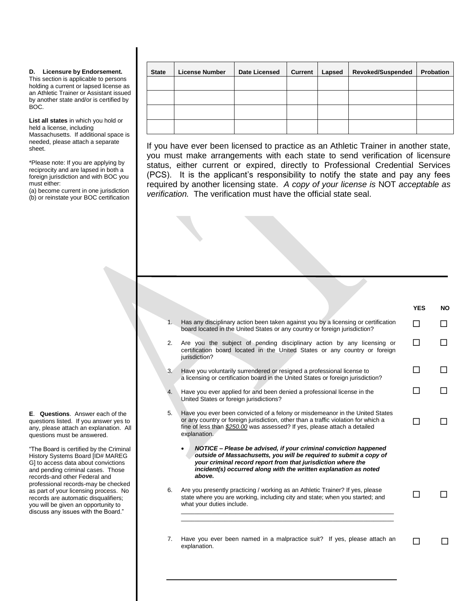#### **D. Licensure by Endorsement.**

This section is applicable to persons holding a current or lapsed license as an Athletic Trainer or Assistant issued by another state and/or is certified by BOC.

**List all states** in which you hold or held a license, including Massachusetts. If additional space is needed, please attach a separate sheet.

\*Please note: If you are applying by reciprocity and are lapsed in both a foreign jurisdiction and with BOC you must either:

(a) become current in one jurisdiction (b) or reinstate your BOC certification

I

I

**E**. **Questions**. Answer each of the questions listed. If you answer yes to any, please attach an explanation. All questions must be answered.

"The Board is certified by the Criminal History Systems Board [ID# MAREG G] to access data about convictions and pending criminal cases. Those records-and other Federal and professional records-may be checked as part of your licensing process. No records are automatic disqualifiers; you will be given an opportunity to discuss any issues with the Board."

| <b>State</b> | <b>License Number</b> | <b>Date Licensed</b> | <b>Current</b> | Lapsed | <b>Revoked/Suspended</b> | Probation |
|--------------|-----------------------|----------------------|----------------|--------|--------------------------|-----------|
|              |                       |                      |                |        |                          |           |
|              |                       |                      |                |        |                          |           |
|              |                       |                      |                |        |                          |           |
|              |                       |                      |                |        |                          |           |

If you have ever been licensed to practice as an Athletic Trainer in another state, you must make arrangements with each state to send verification of licensure status, either current or expired, directly to Professional Credential Services (PCS). It is the applicant's responsibility to notify the state and pay any fees required by another licensing state. *A copy of your license is* NOT *acceptable as verification.* The verification must have the official state seal.

|    |                                                                                                                                                                                                                                                                                      | <b>YES</b> | <b>NO</b> |
|----|--------------------------------------------------------------------------------------------------------------------------------------------------------------------------------------------------------------------------------------------------------------------------------------|------------|-----------|
| 1. | Has any disciplinary action been taken against you by a licensing or certification<br>board located in the United States or any country or foreign jurisdiction?                                                                                                                     | П          |           |
| 2. | Are you the subject of pending disciplinary action by any licensing or<br>certification board located in the United States or any country or foreign<br>jurisdiction?                                                                                                                | П          |           |
| 3. | Have you voluntarily surrendered or resigned a professional license to<br>a licensing or certification board in the United States or foreign jurisdiction?                                                                                                                           | ┓          |           |
| 4. | Have you ever applied for and been denied a professional license in the<br>United States or foreign jurisdictions?                                                                                                                                                                   |            |           |
| 5. | Have you ever been convicted of a felony or misdemeanor in the United States<br>or any country or foreign jurisdiction, other than a traffic violation for which a<br>fine of less than \$250.00 was assessed? If yes, please attach a detailed<br>explanation.                      |            |           |
|    | NOTICE - Please be advised, if your criminal conviction happened<br>outside of Massachusetts, you will be required to submit a copy of<br>your criminal record report from that jurisdiction where the<br>incident(s) occurred along with the written explanation as noted<br>above. |            |           |
| 6. | Are you presently practicing / working as an Athletic Trainer? If yes, please<br>state where you are working, including city and state; when you started; and<br>what your duties include.                                                                                           |            |           |
|    |                                                                                                                                                                                                                                                                                      |            |           |
| 7. | Have you ever been named in a malpractice suit? If yes, please attach an<br>explanation.                                                                                                                                                                                             |            |           |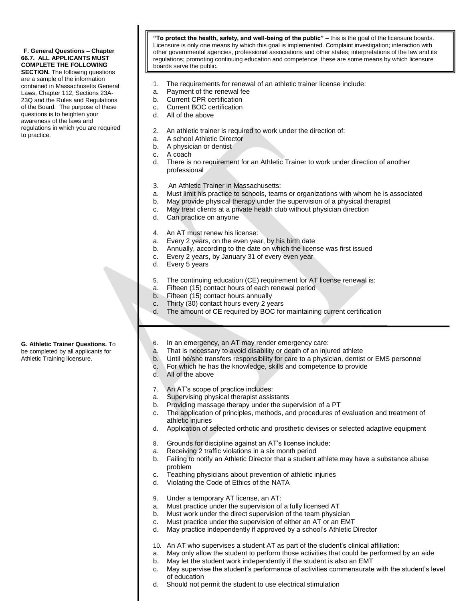#### **F. General Questions – Chapter 66.7. ALL APPLICANTS MUST COMPLETE THE FOLLOWING**

 of the Board. The purpose of these **SECTION.** The following questions are a sample of the information contained in Massachusetts General Laws, Chapter 112, Sections 23A-23Q and the Rules and Regulations questions is to heighten your awareness of the laws and regulations in which you are required to practice.

**"To protect the health, safety, and well-being of the public" –** this is the goal of the licensure boards. Licensure is only one means by which this goal is implemented. Complaint investigation; interaction with other governmental agencies, professional associations and other states; interpretations of the law and its regulations; promoting continuing education and competence; these are some means by which licensure boards serve the public.

- 1. The requirements for renewal of an athletic trainer license include:
- a. Payment of the renewal fee
- b. Current CPR certification
- c. Current BOC certification
- d. All of the above
- 2. An athletic trainer is required to work under the direction of:
- a. A school Athletic Director
- b. A physician or dentist
- c. A coach
- d. There is no requirement for an Athletic Trainer to work under direction of another professional
- 3. An Athletic Trainer in Massachusetts:
- a. Must limit his practice to schools, teams or organizations with whom he is associated
- b. May provide physical therapy under the supervision of a physical therapist
- c. May treat clients at a private health club without physician direction
- d. Can practice on anyone
- 4. An AT must renew his license:
- a. Every 2 years, on the even year, by his birth date
- b. Annually, according to the date on which the license was first issued
- c. Every 2 years, by January 31 of every even year
- d. Every 5 years
- 5. The continuing education (CE) requirement for AT license renewal is:
- a. Fifteen (15) contact hours of each renewal period
	- b. Fifteen (15) contact hours annually
	- c. Thirty (30) contact hours every 2 years
	- d. The amount of CE required by BOC for maintaining current certification
	- 6. In an emergency, an AT may render emergency care:
	- a. That is necessary to avoid disability or death of an injured athlete
- b. Until he/she transfers responsibility for care to a physician, dentist or EMS personnel
- c. For which he has the knowledge, skills and competence to provide
- d. All of the above
- 7. An AT's scope of practice includes:
- a. Supervising physical therapist assistants
- b. Providing massage therapy under the supervision of a PT
- c. The application of principles, methods, and procedures of evaluation and treatment of athletic injuries
- d. Application of selected orthotic and prosthetic devises or selected adaptive equipment
- 8. Grounds for discipline against an AT's license include:
- a. Receiving 2 traffic violations in a six month period
- b. Failing to notify an Athletic Director that a student athlete may have a substance abuse problem
- c. Teaching physicians about prevention of athletic injuries
- d. Violating the Code of Ethics of the NATA
- 9. Under a temporary AT license, an AT:
- a. Must practice under the supervision of a fully licensed AT
- b. Must work under the direct supervision of the team physician
- c. Must practice under the supervision of either an AT or an EMT
- d. May practice independently if approved by a school's Athletic Director
- 10. An AT who supervises a student AT as part of the student's clinical affiliation:
- a. May only allow the student to perform those activities that could be performed by an aide
- b. May let the student work independently if the student is also an EMT
- c. May supervise the student's performance of activities commensurate with the student's level of education
- d. Should not permit the student to use electrical stimulation

**G. Athletic Trainer Questions.** To be completed by all applicants for Athletic Training licensure.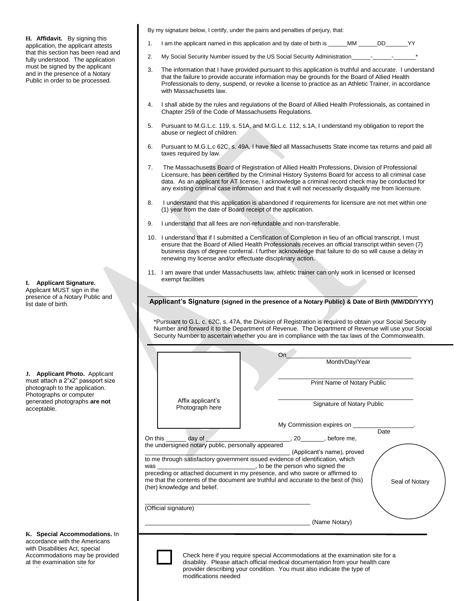fully understood. The application **H. Affidavit.** By signing this application, the applicant attests that this section has been read and must be signed by the applicant and in the presence of a Notary Public in order to be processed.

**I. Applicant Signature.**  Applicant MUST sign in the presence of a Notary Public and

list date of birth.

**J. Applicant Photo.** Applicant must attach a 2"x2" passport size photograph to the application. Photographs or computer generated photographs **are not** acceptable.

**K. Special Accommodations.** In accordance with the Americans with Disabilities Act, special Accommodations may be provided at the examination site for

applicants who qualify.

By my signature below, I certify, under the pains and penalties of perjury, that:

- 1. I am the applicant named in this application and by date of birth is \_\_\_\_\_\_MM \_\_\_\_\_\_DD\_\_\_\_\_\_\_YY
- 2. My Social Security Number issued by the US Social Security Administration
- 3. The information that I have provided pursuant to this application is truthful and accurate. I understand that the failure to provide accurate information may be grounds for the Board of Allied Health Professionals to deny, suspend, or revoke a license to practice as an Athletic Trainer, in accordance with Massachusetts law.
- 4. I shall abide by the rules and regulations of the Board of Allied Health Professionals, as contained in Chapter 259 of the Code of Massachusetts Regulations.
- 5. Pursuant to M.G.L.c. 119, s. 51A, and M.G.L.c. 112, s.1A, I understand my obligation to report the abuse or neglect of children.
- 6. Pursuant to M.G.L.c 62C, s. 49A, I have filed all Massachusetts State income tax returns and paid all taxes required by law.
- 7. The Massachusetts Board of Registration of Allied Health Professions, Division of Professional Licensure, has been certified by the Criminal History Systems Board for access to all criminal case data. As an applicant for AT license, I acknowledge a criminal record check may be conducted for any existing criminal case information and that it will not necessarily disqualify me from licensure.
- 8. I understand that this application is abandoned if requirements for licensure are not met within one (1) year from the date of Board receipt of the application.
- 9. I understand that all fees are non-refundable and non-transferable.
- 10. I understand that if I submitted a Certification of Completion in lieu of an official transcript, I must ensure that the Board of Allied Health Professionals receives an official transcript within seven (7) business days of degree conferral. I further acknowledge that failure to do so will cause a delay in renewing my license and/or effectuate disciplinary action.
- 11. I am aware that under Massachusetts law, athletic trainer can only work in licensed or licensed exempt facilities

**Applicant's Signature (signed in the presence of a Notary Public) & Date of Birth (MM/DD/YYYY)**

\*Pursuant to G.L. c. 62C, s. 47A, the Division of Registration is required to obtain your Social Security Number and forward it to the Department of Revenue. The Department of Revenue will use your Social Security Number to ascertain whether you are in compliance with the tax laws of the Commonwealth.

|                                                                      | Month/Day/Year                                                                                                                                                                                                                                                         |
|----------------------------------------------------------------------|------------------------------------------------------------------------------------------------------------------------------------------------------------------------------------------------------------------------------------------------------------------------|
|                                                                      | Print Name of Notary Public                                                                                                                                                                                                                                            |
| Affix applicant's<br>Photograph here                                 | Signature of Notary Public                                                                                                                                                                                                                                             |
|                                                                      | My Commission expires on _________                                                                                                                                                                                                                                     |
|                                                                      | Date                                                                                                                                                                                                                                                                   |
| On this day of<br>the undersigned notary public, personally appeared | __, 20_________, before me,                                                                                                                                                                                                                                            |
| (her) knowledge and belief.                                          | to me through satisfactory government issued evidence of identification, which<br>preceding or attached document in my presence, and who swore or affirmed to<br>me that the contents of the document are truthful and accurate to the best of (his)<br>Seal of Notary |
| (Official signature)                                                 |                                                                                                                                                                                                                                                                        |
|                                                                      |                                                                                                                                                                                                                                                                        |

provider describing your condition. You must also indicate the type of modifications needed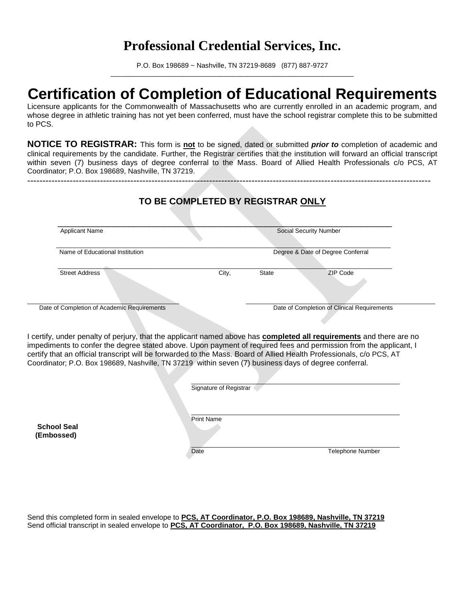P.O. Box 198689 ~ Nashville, TN 37219-8689 (877) 887-9727 \_\_\_\_\_\_\_\_\_\_\_\_\_\_\_\_\_\_\_\_\_\_\_\_\_\_\_\_\_\_\_\_\_\_\_\_\_\_\_\_\_\_\_\_\_\_\_\_\_\_\_\_\_\_\_\_\_\_\_\_\_\_\_\_

## **Certification of Completion of Educational Requirements**

Licensure applicants for the Commonwealth of Massachusetts who are currently enrolled in an academic program, and whose degree in athletic training has not yet been conferred, must have the school registrar complete this to be submitted to PCS.

**NOTICE TO REGISTRAR:** This form is **not** to be signed, dated or submitted *prior to* completion of academic and clinical requirements by the candidate. Further, the Registrar certifies that the institution will forward an official transcript within seven (7) business days of degree conferral to the Mass. Board of Allied Health Professionals c/o PCS, AT Coordinator; P.O. Box 198689, Nashville, TN 37219.

-------------------------------------------------------------------------------------------------------------------------------------

| <b>Applicant Name</b>           |       |       | <b>Social Security Number</b>               |
|---------------------------------|-------|-------|---------------------------------------------|
| Name of Educational Institution |       |       | Degree & Date of Degree Conferral           |
| <b>Street Address</b>           | City, | State | ZIP Code                                    |
|                                 |       |       | Date of Completion of Clinical Requirements |

I certify, under penalty of perjury, that the applicant named above has **completed all requirements** and there are no impediments to confer the degree stated above. Upon payment of required fees and permission from the applicant, I certify that an official transcript will be forwarded to the Mass. Board of Allied Health Professionals, c/o PCS, AT Coordinator; P.O. Box 198689, Nashville, TN 37219 within seven (7) business days of degree conferral.

|                                  | Signature of Registrar                        |
|----------------------------------|-----------------------------------------------|
| <b>School Seal</b><br>(Embossed) | <b>Print Name</b><br>Date<br>Telephone Number |

Send this completed form in sealed envelope to **PCS, AT Coordinator, P.O. Box 198689, Nashville, TN 37219** Send official transcript in sealed envelope to **PCS, AT Coordinator, P.O. Box 198689, Nashville, TN 37219**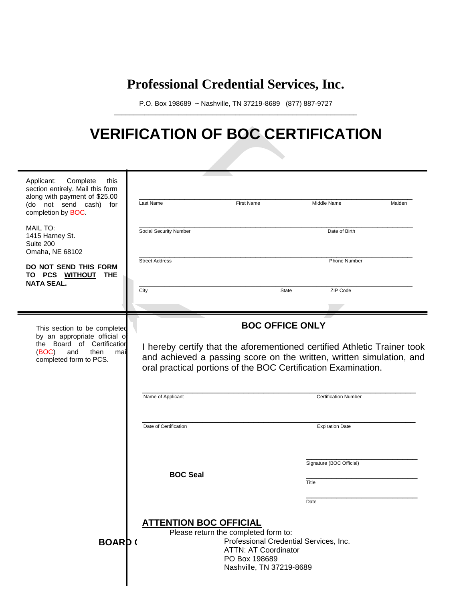P.O. Box 198689 ~ Nashville, TN 37219-8689 (877) 887-9727 \_\_\_\_\_\_\_\_\_\_\_\_\_\_\_\_\_\_\_\_\_\_\_\_\_\_\_\_\_\_\_\_\_\_\_\_\_\_\_\_\_\_\_\_\_\_\_\_\_\_\_\_\_\_\_\_\_\_\_\_\_\_\_\_

## **VERIFICATION OF BOC CERTIFICATION**

| Applicant:<br>Complete<br>this<br>section entirely. Mail this form<br>along with payment of \$25.00<br>(do not send cash) for<br>completion by BOC. | Last Name                                                                                                                                                                                                         | <b>First Name</b>                                                                                                                                          | Middle Name                       | Maiden |  |
|-----------------------------------------------------------------------------------------------------------------------------------------------------|-------------------------------------------------------------------------------------------------------------------------------------------------------------------------------------------------------------------|------------------------------------------------------------------------------------------------------------------------------------------------------------|-----------------------------------|--------|--|
| <b>MAIL TO:</b><br>1415 Harney St.<br>Suite 200<br>Omaha, NE 68102                                                                                  | Social Security Number                                                                                                                                                                                            |                                                                                                                                                            | Date of Birth                     |        |  |
| DO NOT SEND THIS FORM<br>TO PCS WITHOUT THE<br><b>NATA SEAL.</b>                                                                                    | <b>Street Address</b><br>City                                                                                                                                                                                     | <b>State</b>                                                                                                                                               | Phone Number<br>ZIP Code          |        |  |
|                                                                                                                                                     |                                                                                                                                                                                                                   |                                                                                                                                                            |                                   |        |  |
| This section to be completed<br>by an appropriate official of                                                                                       | <b>BOC OFFICE ONLY</b>                                                                                                                                                                                            |                                                                                                                                                            |                                   |        |  |
| the Board of Certification<br>(BOC)<br>and<br>then<br>mai<br>completed form to PCS.                                                                 | I hereby certify that the aforementioned certified Athletic Trainer took<br>and achieved a passing score on the written, written simulation, and<br>oral practical portions of the BOC Certification Examination. |                                                                                                                                                            |                                   |        |  |
|                                                                                                                                                     | Name of Applicant                                                                                                                                                                                                 |                                                                                                                                                            | <b>Certification Number</b>       |        |  |
|                                                                                                                                                     | Date of Certification                                                                                                                                                                                             |                                                                                                                                                            | <b>Expiration Date</b>            |        |  |
|                                                                                                                                                     | <b>BOC Seal</b>                                                                                                                                                                                                   |                                                                                                                                                            | Signature (BOC Official)<br>Title |        |  |
|                                                                                                                                                     |                                                                                                                                                                                                                   |                                                                                                                                                            | Date                              |        |  |
| <b>BOARD</b>                                                                                                                                        | <b>ATTENTION BOC OFFICIAL</b>                                                                                                                                                                                     | Please return the completed form to:<br>Professional Credential Services, Inc.<br><b>ATTN: AT Coordinator</b><br>PO Box 198689<br>Nashville, TN 37219-8689 |                                   |        |  |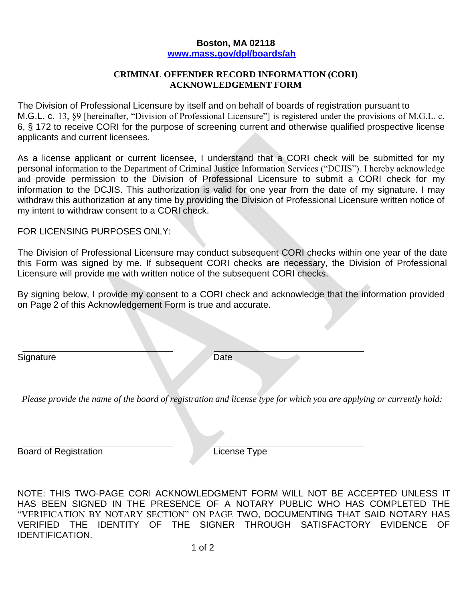## **Boston, MA 02118 [www.mass.gov/dpl/boards/ah](http://www.mass.gov/dpl/boards/ah)**

## **CRIMINAL OFFENDER RECORD INFORMATION (CORI) ACKNOWLEDGEMENT FORM**

The Division of Professional Licensure by itself and on behalf of boards of registration pursuant to M.G.L. c. 13, §9 [hereinafter, "Division of Professional Licensure"] is registered under the provisions of M.G.L. c. 6, § 172 to receive CORI for the purpose of screening current and otherwise qualified prospective license applicants and current licensees.

As a license applicant or current licensee, I understand that a CORI check will be submitted for my personal information to the Department of Criminal Justice Information Services ("DCJIS"). I hereby acknowledge and provide permission to the Division of Professional Licensure to submit a CORI check for my information to the DCJIS. This authorization is valid for one year from the date of my signature. I may withdraw this authorization at any time by providing the Division of Professional Licensure written notice of my intent to withdraw consent to a CORI check.

FOR LICENSING PURPOSES ONLY:

The Division of Professional Licensure may conduct subsequent CORI checks within one year of the date this Form was signed by me. If subsequent CORI checks are necessary, the Division of Professional Licensure will provide me with written notice of the subsequent CORI checks.

By signing below, I provide my consent to a CORI check and acknowledge that the information provided on Page 2 of this Acknowledgement Form is true and accurate.

Signature Date

*Please provide the name of the board of registration and license type for which you are applying or currently hold:*

Board of Registration **License Type** 

NOTE: THIS TWO-PAGE CORI ACKNOWLEDGMENT FORM WILL NOT BE ACCEPTED UNLESS IT HAS BEEN SIGNED IN THE PRESENCE OF A NOTARY PUBLIC WHO HAS COMPLETED THE "VERIFICATION BY NOTARY SECTION" ON PAGE TWO, DOCUMENTING THAT SAID NOTARY HAS VERIFIED THE IDENTITY OF THE SIGNER THROUGH SATISFACTORY EVIDENCE OF IDENTIFICATION.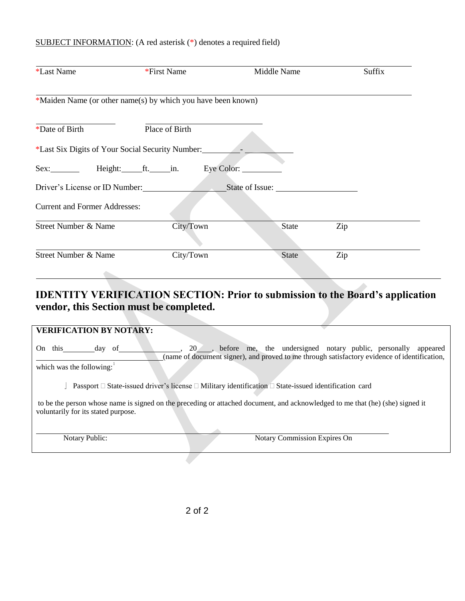## SUBJECT INFORMATION: (A red asterisk (\*) denotes a required field)

| *Last Name                                       | *First Name                                                  | Middle Name     | Suffix                                                          |
|--------------------------------------------------|--------------------------------------------------------------|-----------------|-----------------------------------------------------------------|
|                                                  | *Maiden Name (or other name(s) by which you have been known) |                 |                                                                 |
| *Date of Birth                                   | Place of Birth                                               |                 |                                                                 |
| *Last Six Digits of Your Social Security Number: |                                                              |                 |                                                                 |
| Sex: Height: ft. in.                             | Eye Color:                                                   |                 |                                                                 |
| Driver's License or ID Number:                   |                                                              | State of Issue: |                                                                 |
| <b>Current and Former Addresses:</b>             |                                                              |                 |                                                                 |
| Street Number & Name                             | City/Town                                                    | State           | Zip                                                             |
| Street Number & Name                             | City/Town                                                    | State           | Zip                                                             |
|                                                  |                                                              |                 |                                                                 |
|                                                  | ID DESIGNAL LIBRARIA (IN ALAM DELANT DEL 1990)               |                 | $\blacksquare$<br>$\mathbf{1}$ $\mathbf{1}$ $\mathbf{1}$<br>. . |

## **IDENTITY VERIFICATION SECTION: Prior to submission to the Board's application vendor, this Section must be completed.**

| <b>VERIFICATION BY NOTARY:</b>                                                                                                                                       |                                                                                                                                                                               |  |  |  |
|----------------------------------------------------------------------------------------------------------------------------------------------------------------------|-------------------------------------------------------------------------------------------------------------------------------------------------------------------------------|--|--|--|
| this<br>On.<br>of<br>dav<br>which was the following:                                                                                                                 | 20 <sub>,</sub> before me, the undersigned notary public, personally appeared<br>(name of document signer), and proved to me through satisfactory evidence of identification, |  |  |  |
|                                                                                                                                                                      | Passport $\Box$ State-issued driver's license $\Box$ Military identification $\Box$ State-issued identification card                                                          |  |  |  |
| to be the person whose name is signed on the preceding or attached document, and acknowledged to me that (he) (she) signed it<br>voluntarily for its stated purpose. |                                                                                                                                                                               |  |  |  |
| Notary Public:                                                                                                                                                       | Notary Commission Expires On                                                                                                                                                  |  |  |  |